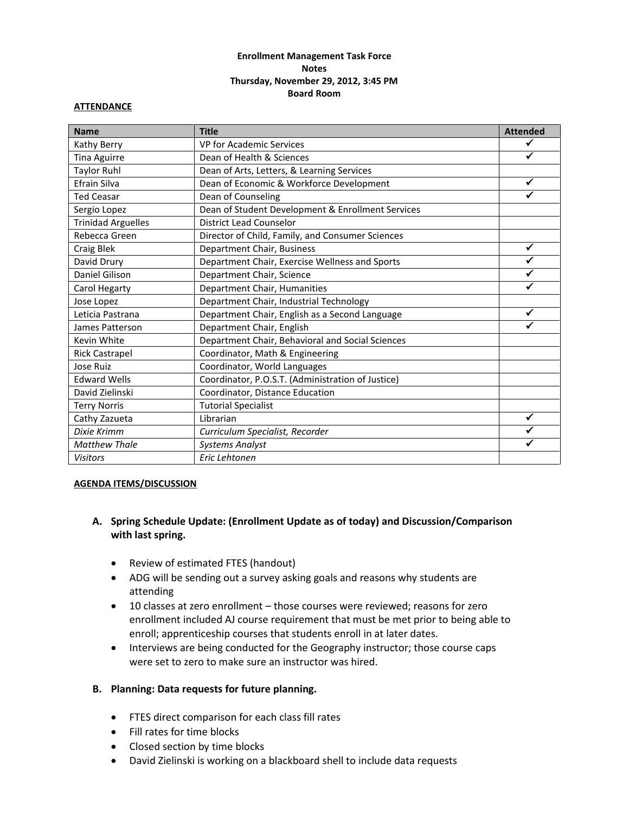# **Enrollment Management Task Force Notes Thursday, November 29, 2012, 3:45 PM Board Room**

### **ATTENDANCE**

| <b>Name</b>               | <b>Title</b>                                      | <b>Attended</b> |
|---------------------------|---------------------------------------------------|-----------------|
| Kathy Berry               | <b>VP for Academic Services</b>                   | ✓               |
| <b>Tina Aguirre</b>       | Dean of Health & Sciences                         | $\checkmark$    |
| <b>Taylor Ruhl</b>        | Dean of Arts, Letters, & Learning Services        |                 |
| Efrain Silva              | Dean of Economic & Workforce Development          | $\checkmark$    |
| <b>Ted Ceasar</b>         | Dean of Counseling                                | ✔               |
| Sergio Lopez              | Dean of Student Development & Enrollment Services |                 |
| <b>Trinidad Arguelles</b> | <b>District Lead Counselor</b>                    |                 |
| Rebecca Green             | Director of Child, Family, and Consumer Sciences  |                 |
| Craig Blek                | Department Chair, Business                        | ✓               |
| David Drury               | Department Chair, Exercise Wellness and Sports    |                 |
| Daniel Gilison            | Department Chair, Science                         |                 |
| Carol Hegarty             | Department Chair, Humanities                      | ✓               |
| Jose Lopez                | Department Chair, Industrial Technology           |                 |
| Leticia Pastrana          | Department Chair, English as a Second Language    | ✓               |
| James Patterson           | Department Chair, English                         |                 |
| Kevin White               | Department Chair, Behavioral and Social Sciences  |                 |
| <b>Rick Castrapel</b>     | Coordinator, Math & Engineering                   |                 |
| Jose Ruiz                 | Coordinator, World Languages                      |                 |
| <b>Edward Wells</b>       | Coordinator, P.O.S.T. (Administration of Justice) |                 |
| David Zielinski           | Coordinator, Distance Education                   |                 |
| <b>Terry Norris</b>       | <b>Tutorial Specialist</b>                        |                 |
| Cathy Zazueta             | Librarian                                         | ✓               |
| Dixie Krimm               | Curriculum Specialist, Recorder                   |                 |
| <b>Matthew Thale</b>      | <b>Systems Analyst</b>                            | ✓               |
| <b>Visitors</b>           | Eric Lehtonen                                     |                 |

#### **AGENDA ITEMS/DISCUSSION**

# **A. Spring Schedule Update: (Enrollment Update as of today) and Discussion/Comparison with last spring.**

- Review of estimated FTES (handout)
- ADG will be sending out a survey asking goals and reasons why students are attending
- 10 classes at zero enrollment those courses were reviewed; reasons for zero enrollment included AJ course requirement that must be met prior to being able to enroll; apprenticeship courses that students enroll in at later dates.
- Interviews are being conducted for the Geography instructor; those course caps were set to zero to make sure an instructor was hired.

## **B. Planning: Data requests for future planning.**

- FTES direct comparison for each class fill rates
- Fill rates for time blocks
- Closed section by time blocks
- David Zielinski is working on a blackboard shell to include data requests